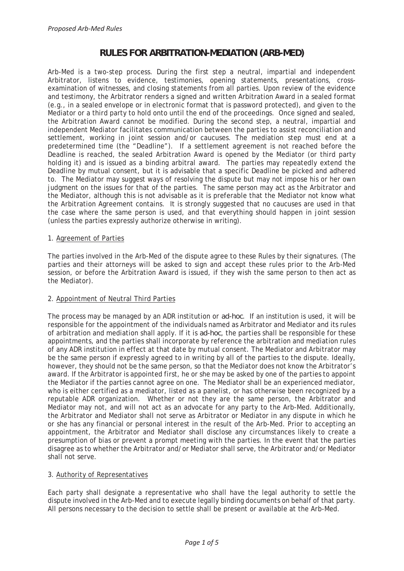# **RULES FOR ARBITRATION-MEDIATION (ARB-MED)**

Arb-Med is a two-step process. During the first step a neutral, impartial and independent Arbitrator, listens to evidence, testimonies, opening statements, presentations, crossexamination of witnesses, and closing statements from all parties. Upon review of the evidence and testimony, the Arbitrator renders a signed and written Arbitration Award in a sealed format (e.g., in a sealed envelope or in electronic format that is password protected), and given to the Mediator or a third party to hold onto until the end of the proceedings. Once signed and sealed, the Arbitration Award cannot be modified. During the second step, a neutral, impartial and independent Mediator facilitates communication between the parties to assist reconciliation and settlement, working in joint session and/or caucuses. The mediation step must end at a predetermined time (the "Deadline"). If a settlement agreement is not reached before the Deadline is reached, the sealed Arbitration Award is opened by the Mediator (or third party holding it) and is issued as a binding arbitral award. The parties may repeatedly extend the Deadline by mutual consent, but it is advisable that a specific Deadline be picked and adhered to. The Mediator may suggest ways of resolving the dispute but may not impose his or her own judgment on the issues for that of the parties. The same person may act as the Arbitrator and the Mediator, although this is not advisable as it is preferable that the Mediator not know what the Arbitration Agreement contains. It is strongly suggested that no caucuses are used in that the case where the same person is used, and that everything should happen in joint session (unless the parties expressly authorize otherwise in writing).

## 1. Agreement of Parties

The parties involved in the Arb-Med of the dispute agree to these Rules by their signatures. (The parties and their attorneys will be asked to sign and accept these rules prior to the Arb-Med session, or before the Arbitration Award is issued, if they wish the same person to then act as the Mediator).

## 2. Appointment of Neutral Third Parties

The process may be managed by an ADR institution or *ad-hoc*. If an institution is used, it will be responsible for the appointment of the individuals named as Arbitrator and Mediator and its rules of arbitration and mediation shall apply. If it is *ad-hoc*, the parties shall be responsible for these appointments, and the parties shall incorporate by reference the arbitration and mediation rules of any ADR institution in effect at that date by mutual consent. The Mediator and Arbitrator may be the same person if expressly agreed to in writing by all of the parties to the dispute. Ideally, however, they should not be the same person, so that the Mediator does not know the Arbitrator's award. If the Arbitrator is appointed first, he or she may be asked by one of the parties to appoint the Mediator if the parties cannot agree on one. The Mediator shall be an experienced mediator, who is either certified as a mediator, listed as a panelist, or has otherwise been recognized by a reputable ADR organization. Whether or not they are the same person, the Arbitrator and Mediator may not, and will not act as an advocate for any party to the Arb-Med. Additionally, the Arbitrator and Mediator shall not serve as Arbitrator or Mediator in any dispute in which he or she has any financial or personal interest in the result of the Arb-Med. Prior to accepting an appointment, the Arbitrator and Mediator shall disclose any circumstances likely to create a presumption of bias or prevent a prompt meeting with the parties. In the event that the parties disagree as to whether the Arbitrator and/or Mediator shall serve, the Arbitrator and/or Mediator shall not serve.

#### 3. Authority of Representatives

Each party shall designate a representative who shall have the legal authority to settle the dispute involved in the Arb-Med and to execute legally binding documents on behalf of that party. All persons necessary to the decision to settle shall be present or available at the Arb-Med.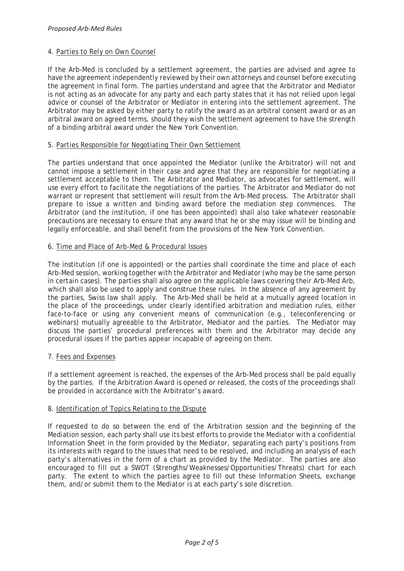## 4. Parties to Rely on Own Counsel

If the Arb-Med is concluded by a settlement agreement, the parties are advised and agree to have the agreement independently reviewed by their own attorneys and counsel before executing the agreement in final form. The parties understand and agree that the Arbitrator and Mediator is not acting as an advocate for any party and each party states that it has not relied upon legal advice or counsel of the Arbitrator or Mediator in entering into the settlement agreement. The Arbitrator may be asked by either party to ratify the award as an arbitral consent award or as an arbitral award on agreed terms, should they wish the settlement agreement to have the strength of a binding arbitral award under the New York Convention.

## 5. Parties Responsible for Negotiating Their Own Settlement

The parties understand that once appointed the Mediator (unlike the Arbitrator) will not and cannot impose a settlement in their case and agree that they are responsible for negotiating a settlement acceptable to them. The Arbitrator and Mediator, as advocates for settlement, will use every effort to facilitate the negotiations of the parties. The Arbitrator and Mediator do not warrant or represent that settlement will result from the Arb-Med process. The Arbitrator shall prepare to issue a written and binding award before the mediation step commences. The Arbitrator (and the institution, if one has been appointed) shall also take whatever reasonable precautions are necessary to ensure that any award that he or she may issue will be binding and legally enforceable, and shall benefit from the provisions of the New York Convention.

## 6. Time and Place of Arb-Med & Procedural Issues

The institution (if one is appointed) or the parties shall coordinate the time and place of each Arb-Med session, working together with the Arbitrator and Mediator (who may be the same person in certain cases). The parties shall also agree on the applicable laws covering their Arb-Med Arb, which shall also be used to apply and construe these rules. In the absence of any agreement by the parties, Swiss law shall apply. The Arb-Med shall be held at a mutually agreed location in the place of the proceedings, under clearly identified arbitration and mediation rules, either face-to-face or using any convenient means of communication (e.g., teleconferencing or webinars) mutually agreeable to the Arbitrator, Mediator and the parties. The Mediator may discuss the parties' procedural preferences with them and the Arbitrator may decide any procedural issues if the parties appear incapable of agreeing on them.

#### 7. Fees and Expenses

If a settlement agreement is reached, the expenses of the Arb-Med process shall be paid equally by the parties. If the Arbitration Award is opened or released, the costs of the proceedings shall be provided in accordance with the Arbitrator's award.

#### 8. Identification of Topics Relating to the Dispute

If requested to do so between the end of the Arbitration session and the beginning of the Mediation session, each party shall use its best efforts to provide the Mediator with a confidential Information Sheet in the form provided by the Mediator, separating each party's positions from its interests with regard to the issues that need to be resolved, and including an analysis of each party's alternatives in the form of a chart as provided by the Mediator. The parties are also encouraged to fill out a SWOT (Strengths/Weaknesses/Opportunities/Threats) chart for each party. The extent to which the parties agree to fill out these Information Sheets, exchange them, and/or submit them to the Mediator is at each party's sole discretion.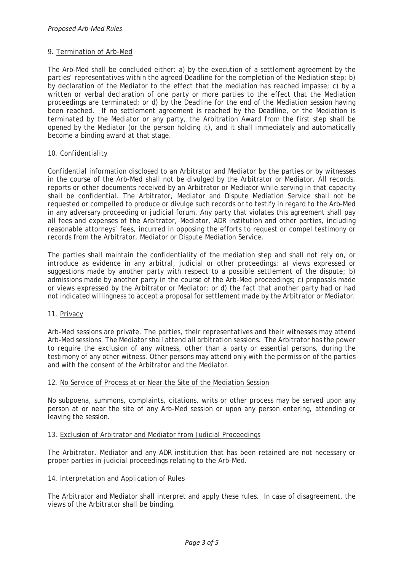## 9. Termination of Arb-Med

The Arb-Med shall be concluded either: a) by the execution of a settlement agreement by the parties' representatives within the agreed Deadline for the completion of the Mediation step; b) by declaration of the Mediator to the effect that the mediation has reached impasse; c) by a written or verbal declaration of one party or more parties to the effect that the Mediation proceedings are terminated; or d) by the Deadline for the end of the Mediation session having been reached. If no settlement agreement is reached by the Deadline, or the Mediation is terminated by the Mediator or any party, the Arbitration Award from the first step shall be opened by the Mediator (or the person holding it), and it shall immediately and automatically become a binding award at that stage.

## 10. Confidentiality

Confidential information disclosed to an Arbitrator and Mediator by the parties or by witnesses in the course of the Arb-Med shall not be divulged by the Arbitrator or Mediator. All records, reports or other documents received by an Arbitrator or Mediator while serving in that capacity shall be confidential. The Arbitrator, Mediator and Dispute Mediation Service shall not be requested or compelled to produce or divulge such records or to testify in regard to the Arb-Med in any adversary proceeding or judicial forum. Any party that violates this agreement shall pay all fees and expenses of the Arbitrator, Mediator, ADR institution and other parties, including reasonable attorneys' fees, incurred in opposing the efforts to request or compel testimony or records from the Arbitrator, Mediator or Dispute Mediation Service.

The parties shall maintain the confidentiality of the mediation step and shall not rely on, or introduce as evidence in any arbitral, judicial or other proceedings: a) views expressed or suggestions made by another party with respect to a possible settlement of the dispute; b) admissions made by another party in the course of the Arb-Med proceedings; c) proposals made or views expressed by the Arbitrator or Mediator; or d) the fact that another party had or had not indicated willingness to accept a proposal for settlement made by the Arbitrator or Mediator.

11. Privacy

Arb-Med sessions are private. The parties, their representatives and their witnesses may attend Arb-Med sessions. The Mediator shall attend all arbitration sessions. The Arbitrator has the power to require the exclusion of any witness, other than a party or essential persons, during the testimony of any other witness. Other persons may attend only with the permission of the parties and with the consent of the Arbitrator and the Mediator.

#### 12. No Service of Process at or Near the Site of the Mediation Session

No subpoena, summons, complaints, citations, writs or other process may be served upon any person at or near the site of any Arb-Med session or upon any person entering, attending or leaving the session.

#### 13. Exclusion of Arbitrator and Mediator from Judicial Proceedings

The Arbitrator, Mediator and any ADR institution that has been retained are not necessary or proper parties in judicial proceedings relating to the Arb-Med.

## 14. Interpretation and Application of Rules

The Arbitrator and Mediator shall interpret and apply these rules. In case of disagreement, the views of the Arbitrator shall be binding.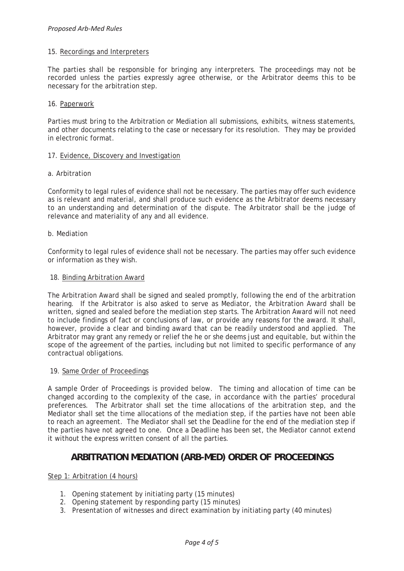#### 15. Recordings and Interpreters

The parties shall be responsible for bringing any interpreters. The proceedings may not be recorded unless the parties expressly agree otherwise, or the Arbitrator deems this to be necessary for the arbitration step.

#### 16. Paperwork

Parties must bring to the Arbitration or Mediation all submissions, exhibits, witness statements, and other documents relating to the case or necessary for its resolution. They may be provided in electronic format.

#### 17. Evidence, Discovery and Investigation

#### a. Arbitration

Conformity to legal rules of evidence shall not be necessary. The parties may offer such evidence as is relevant and material, and shall produce such evidence as the Arbitrator deems necessary to an understanding and determination of the dispute. The Arbitrator shall be the judge of relevance and materiality of any and all evidence.

#### b. Mediation

Conformity to legal rules of evidence shall not be necessary. The parties may offer such evidence or information as they wish.

#### 18. Binding Arbitration Award

The Arbitration Award shall be signed and sealed promptly, following the end of the arbitration hearing. If the Arbitrator is also asked to serve as Mediator, the Arbitration Award shall be written, signed and sealed before the mediation step starts. The Arbitration Award will not need to include findings of fact or conclusions of law, or provide any reasons for the award. It shall, however, provide a clear and binding award that can be readily understood and applied. The Arbitrator may grant any remedy or relief the he or she deems just and equitable, but within the scope of the agreement of the parties, including but not limited to specific performance of any contractual obligations.

#### 19. Same Order of Proceedings

A sample Order of Proceedings is provided below. The timing and allocation of time can be changed according to the complexity of the case, in accordance with the parties' procedural preferences. The Arbitrator shall set the time allocations of the arbitration step, and the Mediator shall set the time allocations of the mediation step, if the parties have not been able to reach an agreement. The Mediator shall set the Deadline for the end of the mediation step if the parties have not agreed to one. Once a Deadline has been set, the Mediator cannot extend it without the express written consent of all the parties.

## **ARBITRATION MEDIATION (ARB-MED) ORDER OF PROCEEDINGS**

#### Step 1: Arbitration (4 hours)

- 1. Opening statement by initiating party (15 minutes)
- 2. Opening statement by responding party (15 minutes)
- 3. Presentation of witnesses and direct examination by initiating party (40 minutes)